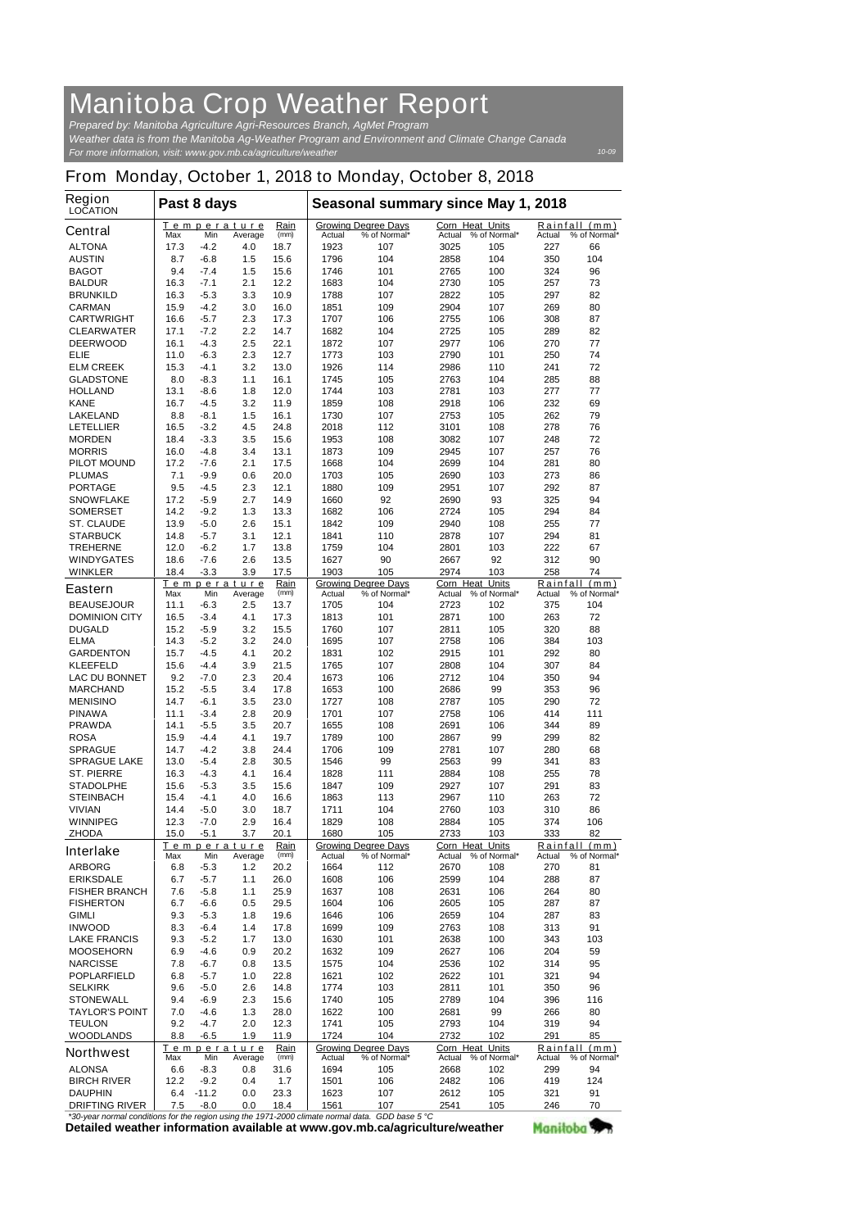## **Manitoba Crop Weather Report**

*For more information, visit: www.gov.mb.ca/agriculture/weather Prepared by: Manitoba Agriculture Agri-Resources Branch, AgMet Program Weather data is from the Manitoba Ag-Weather Program and Environment and Climate Change Canada*

*10-09*

## **From Monday, October 1, 2018 to Monday, October 8, 2018**

| <b>Region</b><br><b>LOCATION</b>                                            | Past 8 days  |                    |                |              | Seasonal summary since May 1, 2018 |                                            |                                  |                            |                    |                      |
|-----------------------------------------------------------------------------|--------------|--------------------|----------------|--------------|------------------------------------|--------------------------------------------|----------------------------------|----------------------------|--------------------|----------------------|
| <b>Central</b>                                                              | <b>Max</b>   | Temperature<br>Min | Average        | Rain<br>(mm) | <b>Actual</b>                      | <b>Growing Degree Days</b><br>% of Normal* | <b>Corn Heat Units</b><br>Actual | % of Normal*               | Rainfall<br>Actual | (mm)<br>% of Normal* |
| <b>ALTONA</b>                                                               | 17.3         | -4.2               | 4.0            | 18.7         | 1923                               | 107                                        | 3025                             | 105                        | 227                | 66                   |
| <b>AUSTIN</b>                                                               | 8.7          | $-6.8$             | 1.5            | 15.6         | 1796                               | 104                                        | 2858                             | 104                        | 350                | 104                  |
| <b>BAGOT</b>                                                                | 9.4          | $-7.4$             | 1.5            | 15.6         | 1746                               | 101                                        | 2765                             | 100                        | 324                | 96                   |
| <b>BALDUR</b>                                                               | 16.3         | $-7.1$             | 2.1            | 12.2         | 1683                               | 104                                        | 2730                             | 105                        | 257                | 73                   |
| <b>BRUNKILD</b>                                                             | 16.3         | $-5.3$             | 3.3            | 10.9         | 1788                               | 107                                        | 2822                             | 105                        | 297                | 82                   |
| <b>CARMAN</b><br><b>CARTWRIGHT</b>                                          | 15.9<br>16.6 | $-4.2$<br>$-5.7$   | 3.0<br>2.3     | 16.0<br>17.3 | 1851<br>1707                       | 109<br>106                                 | 2904<br>2755                     | 107<br>106                 | 269<br>308         | 80<br>87             |
| <b>CLEARWATER</b>                                                           | 17.1         | $-7.2$             | 2.2            | 14.7         | 1682                               | 104                                        | 2725                             | 105                        | 289                | 82                   |
| <b>DEERWOOD</b>                                                             | 16.1         | $-4.3$             | 2.5            | 22.1         | 1872                               | 107                                        | 2977                             | 106                        | 270                | 77                   |
| ELIE                                                                        | 11.0         | $-6.3$             | 2.3            | 12.7         | 1773                               | 103                                        | 2790                             | 101                        | 250                | 74                   |
| <b>ELM CREEK</b>                                                            | 15.3         | $-4.1$             | 3.2            | 13.0         | 1926                               | 114                                        | 2986                             | 110                        | 241                | 72                   |
| <b>GLADSTONE</b>                                                            | 8.0          | $-8.3$             | 1.1            | 16.1         | 1745                               | 105                                        | 2763                             | 104                        | 285                | 88                   |
| <b>HOLLAND</b>                                                              | 13.1         | -8.6               | 1.8            | 12.0         | 1744                               | 103                                        | 2781                             | 103                        | 277                | 77                   |
| <b>KANE</b>                                                                 | 16.7         | -4.5               | 3.2            | 11.9         | 1859                               | 108                                        | 2918                             | 106                        | 232                | 69                   |
| <b>LAKELAND</b><br><b>LETELLIER</b>                                         | 8.8          | -8.1<br>$-3.2$     | 1.5<br>4.5     | 16.1         | 1730                               | 107                                        | 2753                             | 105                        | 262<br>278         | 79<br>76             |
| <b>MORDEN</b>                                                               | 16.5<br>18.4 | $-3.3$             | 3.5            | 24.8<br>15.6 | 2018<br>1953                       | 112<br>108                                 | 3101<br>3082                     | 108<br>107                 | 248                | 72                   |
| <b>MORRIS</b>                                                               | 16.0         | $-4.8$             | 3.4            | 13.1         | 1873                               | 109                                        | 2945                             | 107                        | 257                | 76                   |
| <b>PILOT MOUND</b>                                                          | 17.2         | -7.6               | 2.1            | 17.5         | 1668                               | 104                                        | 2699                             | 104                        | 281                | 80                   |
| <b>PLUMAS</b>                                                               | 7.1          | -9.9               | 0.6            | 20.0         | 1703                               | 105                                        | 2690                             | 103                        | 273                | 86                   |
| <b>PORTAGE</b>                                                              | 9.5          | $-4.5$             | 2.3            | 12.1         | 1880                               | 109                                        | 2951                             | 107                        | 292                | 87                   |
| <b>SNOWFLAKE</b>                                                            | 17.2         | $-5.9$             | 2.7            | 14.9         | 1660                               | 92                                         | 2690                             | 93                         | 325                | 94                   |
| <b>SOMERSET</b>                                                             | 14.2         | $-9.2$             | 1.3            | 13.3         | 1682                               | 106                                        | 2724                             | 105                        | 294                | 84                   |
| <b>ST. CLAUDE</b>                                                           | 13.9         | $-5.0$             | 2.6            | 15.1         | 1842                               | 109                                        | 2940                             | 108                        | 255                | 77                   |
| <b>STARBUCK</b>                                                             | 14.8         | $-5.7$             | 3.1            | 12.1         | 1841                               | 110                                        | 2878                             | 107                        | 294                | 81                   |
| <b>TREHERNE</b>                                                             | 12.0         | $-6.2$             | 1.7            | 13.8         | 1759                               | 104                                        | 2801                             | 103                        | 222                | 67                   |
| <b>WINDYGATES</b><br><b>WINKLER</b>                                         | 18.6<br>18.4 | $-7.6$<br>$-3.3$   | 2.6<br>3.9     | 13.5<br>17.5 | 1627<br>1903                       | 90<br>105                                  | 2667<br>2974                     | 92<br>103                  | 312<br>258         | 90<br>74             |
|                                                                             |              | Temperature        |                | Rain         |                                    | <b>Growing Degree Days</b>                 | <b>Corn Heat Units</b>           |                            |                    | Rainfall (mm)        |
| <b>Eastern</b>                                                              | Max          | Min                | Average        | (mm)         | Actual                             | % of Normal*                               | Actual                           | % of Normal*               | Actual             | % of Normal*         |
| <b>BEAUSEJOUR</b>                                                           | 11.1         | -6.3               | 2.5            | 13.7         | 1705                               | 104                                        | 2723                             | 102                        | 375                | 104                  |
| <b>DOMINION CITY</b>                                                        | 16.5         | $-3.4$             | 4.1            | 17.3         | 1813                               | 101                                        | 2871                             | 100                        | 263                | 72                   |
| <b>DUGALD</b>                                                               | 15.2         | $-5.9$             | 3.2            | 15.5         | 1760                               | 107                                        | 2811                             | 105                        | 320                | 88                   |
| <b>ELMA</b>                                                                 | 14.3         | $-5.2$             | 3.2            | 24.0         | 1695                               | 107                                        | 2758                             | 106                        | 384                | 103                  |
| <b>GARDENTON</b><br><b>KLEEFELD</b>                                         | 15.7<br>15.6 | $-4.5$<br>$-4.4$   | 4.1<br>3.9     | 20.2<br>21.5 | 1831<br>1765                       | 102<br>107                                 | 2915<br>2808                     | 101<br>104                 | 292<br>307         | 80<br>84             |
| <b>LAC DU BONNET</b>                                                        | 9.2          | -7.0               | 2.3            | 20.4         | 1673                               | 106                                        | 2712                             | 104                        | 350                | 94                   |
| <b>MARCHAND</b>                                                             | 15.2         | $-5.5$             | 3.4            | 17.8         | 1653                               | 100                                        | 2686                             | 99                         | 353                | 96                   |
| <b>MENISINO</b>                                                             | 14.7         | -6.1               | 3.5            | 23.0         | 1727                               | 108                                        | 2787                             | 105                        | 290                | 72                   |
| PINAWA                                                                      | 11.1         | $-3.4$             | 2.8            | 20.9         | 1701                               | 107                                        | 2758                             | 106                        | 414                | 111                  |
| <b>PRAWDA</b>                                                               | 14.1         | -5.5               | 3.5            | 20.7         | 1655                               | 108                                        | 2691                             | 106                        | 344                | 89                   |
| <b>ROSA</b>                                                                 | 15.9         | -4.4               | 4.1            | 19.7         | 1789                               | 100                                        | 2867                             | 99                         | 299                | 82                   |
| <b>SPRAGUE</b>                                                              | 14.7         | $-4.2$             | 3.8            | 24.4         | 1706                               | 109                                        | 2781                             | 107                        | 280                | 68                   |
| <b>SPRAGUE LAKE</b>                                                         | 13.0         | -5.4               | 2.8            | 30.5         | 1546                               | 99                                         | 2563                             | 99                         | 341                | 83                   |
| <b>ST. PIERRE</b>                                                           | 16.3         | $-4.3$             | 4.1            | 16.4         | 1828                               | 111                                        | 2884                             | 108                        | 255                | 78                   |
| <b>STADOLPHE</b><br><b>STEINBACH</b>                                        | 15.6<br>15.4 | $-5.3$<br>-4.1     | 3.5<br>4.0     | 15.6<br>16.6 | 1847<br>1863                       | 109<br>113                                 | 2927<br>2967                     | 107<br>110                 | 291<br>263         | 83<br>72             |
| <b>VIVIAN</b>                                                               | 14.4         | -5.0               | 3.0            | 18.7         | 1711                               | 104                                        | 2760                             | 103                        | 310                | 86                   |
| <b>WINNIPEG</b>                                                             | 12.3         | -7.0               | 2.9            | 16.4         | 1829                               | 108                                        | 2884                             | 105                        | 374                | 106                  |
| <b>ZHODA</b>                                                                | 15.0         | -5.1               | 3.7            | 20.1         | 1680                               | 105                                        | 2733                             | 103                        | 333                | 82                   |
| <b>Interlake</b>                                                            |              | Temperature        |                | Rain         |                                    | <b>Growing Degree Days</b>                 | Corn Heat Units                  |                            | Rainfall           | (mm)                 |
| <b>ARBORG</b>                                                               | Max<br>6.8   | Min<br>$-5.3$      | Average<br>1.2 | (mm)<br>20.2 | Actual<br>1664                     | % of Normal*<br>112                        | 2670                             | Actual % of Normal*<br>108 | Actual<br>270      | % of Normal*<br>81   |
| <b>ERIKSDALE</b>                                                            | 6.7          | $-5.7$             | 1.1            | 26.0         | 1608                               | 106                                        | 2599                             | 104                        | 288                | 87                   |
| <b>FISHER BRANCH</b>                                                        | 7.6          | -5.8               | 1.1            | 25.9         | 1637                               | 108                                        | 2631                             | 106                        | 264                | 80                   |
| <b>FISHERTON</b>                                                            | 6.7          | -6.6               | 0.5            | 29.5         | 1604                               | 106                                        | 2605                             | 105                        | 287                | 87                   |
| <b>GIMLI</b>                                                                | 9.3          | $-5.3$             | 1.8            | 19.6         | 1646                               | 106                                        | 2659                             | 104                        | 287                | 83                   |
| <b>INWOOD</b>                                                               | 8.3          | -6.4               | 1.4            | 17.8         | 1699                               | 109                                        | 2763                             | 108                        | 313                | 91                   |
| <b>LAKE FRANCIS</b>                                                         | 9.3          | -5.2               | 1.7            | 13.0         | 1630                               | 101                                        | 2638                             | 100                        | 343                | 103                  |
| <b>MOOSEHORN</b>                                                            | 6.9          | -4.6               | 0.9            | 20.2         | 1632                               | 109                                        | 2627                             | 106                        | 204                | 59                   |
| <b>NARCISSE</b>                                                             | 7.8          | -6.7               | 0.8            | 13.5         | 1575                               | 104                                        | 2536                             | 102                        | 314                | 95                   |
| <b>POPLARFIELD</b><br><b>SELKIRK</b>                                        | 6.8          | -5.7               | 1.0            | 22.8         | 1621                               | 102                                        | 2622                             | 101<br>101                 | 321<br>350         | 94                   |
| <b>STONEWALL</b>                                                            | 9.6<br>9.4   | -5.0<br>$-6.9$     | 2.6<br>2.3     | 14.8<br>15.6 | 1774<br>1740                       | 103<br>105                                 | 2811<br>2789                     | 104                        | 396                | 96<br>116            |
| <b>TAYLOR'S POINT</b>                                                       | 7.0          | -4.6               | 1.3            | 28.0         | 1622                               | 100                                        | 2681                             | 99                         | 266                | 80                   |
| <b>TEULON</b>                                                               | 9.2          | -4.7               | 2.0            | 12.3         | 1741                               | 105                                        | 2793                             | 104                        | 319                | 94                   |
| <b>WOODLANDS</b>                                                            | 8.8          | -6.5               | 1.9            | 11.9         | 1724                               | 104                                        | 2732                             | 102                        | 291                | 85                   |
| <b>Northwest</b>                                                            |              | Temperature        |                | Rain         |                                    | <b>Growing Degree Days</b>                 | Corn Heat Units                  |                            |                    | Rainfall (mm)        |
|                                                                             | Max          | Min                | Average        | (mm)         | Actual                             | % of Normal*                               | Actual                           | % of Normal*               | Actual             | % of Normal*         |
| <b>ALONSA</b><br><b>BIRCH RIVER</b>                                         | 6.6<br>12.2  | -8.3<br>$-9.2$     | 0.8<br>0.4     | 31.6<br>1.7  | 1694<br>1501                       | 105<br>106                                 | 2668<br>2482                     | 102<br>106                 | 299<br>419         | 94<br>124            |
| <b>DAUPHIN</b>                                                              | 6.4          | $-11.2$            | 0.0            | 23.3         | 1623                               | 107                                        | 2612                             | 105                        | 321                | 91                   |
| <b>DRIFTING RIVER</b>                                                       | 7.5          | $-8.0$             | 0.0            | 18.4         | 1561                               | 107                                        | 2541                             | 105                        | 246                | 70                   |
| or normal conditiona for the region uping the 1071.2000 elimete normal data |              |                    |                |              |                                    | $CDD$ hoog $E \, \Omega$                   |                                  |                            |                    |                      |

**Detailed weather information available at www.gov.mb.ca/agriculture/weather** *\*30-year normal conditions for the region using the 1971-2000 climate normal data. GDD base 5 °C* Manitoba<sup>y</sup>